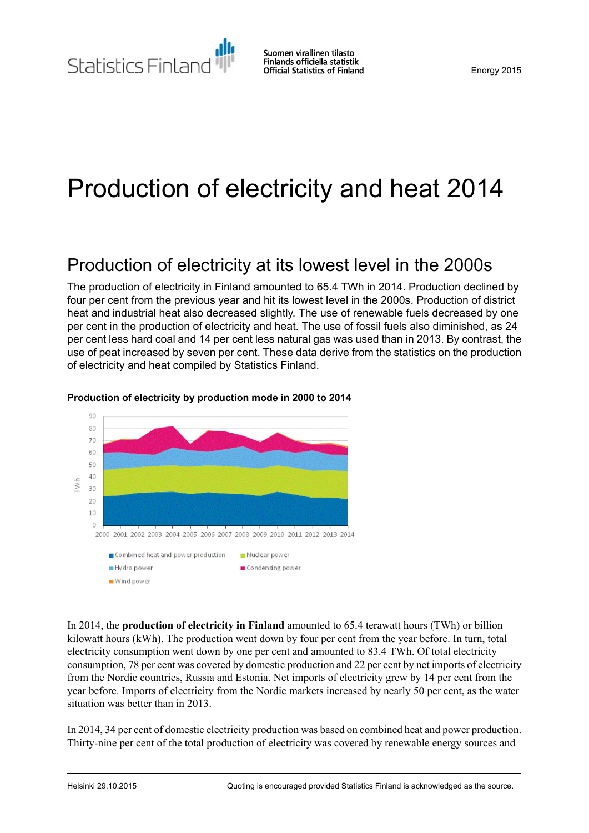Statistics Finland

# Production of electricity and heat 2014

## Production of electricity at its lowest level in the 2000s

The production of electricity in Finland amounted to 65.4 TWh in 2014. Production declined by four per cent from the previous year and hit its lowest level in the 2000s. Production of district heat and industrial heat also decreased slightly. The use of renewable fuels decreased by one per cent in the production of electricity and heat. The use of fossil fuels also diminished, as 24 per cent less hard coal and 14 per cent less natural gas was used than in 2013. By contrast, the use of peat increased by seven per cent. These data derive from the statistics on the production of electricity and heat compiled by Statistics Finland.



### **Production of electricity by production mode in 2000 to 2014**

In 2014, the **production of electricity in Finland** amounted to 65.4 terawatt hours (TWh) or billion kilowatt hours (kWh). The production went down by four per cent from the year before. In turn, total electricity consumption went down by one per cent and amounted to 83.4 TWh. Of total electricity consumption, 78 per cent was covered by domestic production and 22 per cent by net imports of electricity from the Nordic countries, Russia and Estonia. Net imports of electricity grew by 14 per cent from the year before. Imports of electricity from the Nordic markets increased by nearly 50 per cent, as the water situation was better than in 2013.

In 2014, 34 per cent of domestic electricity production was based on combined heat and power production. Thirty-nine per cent of the total production of electricity was covered by renewable energy sources and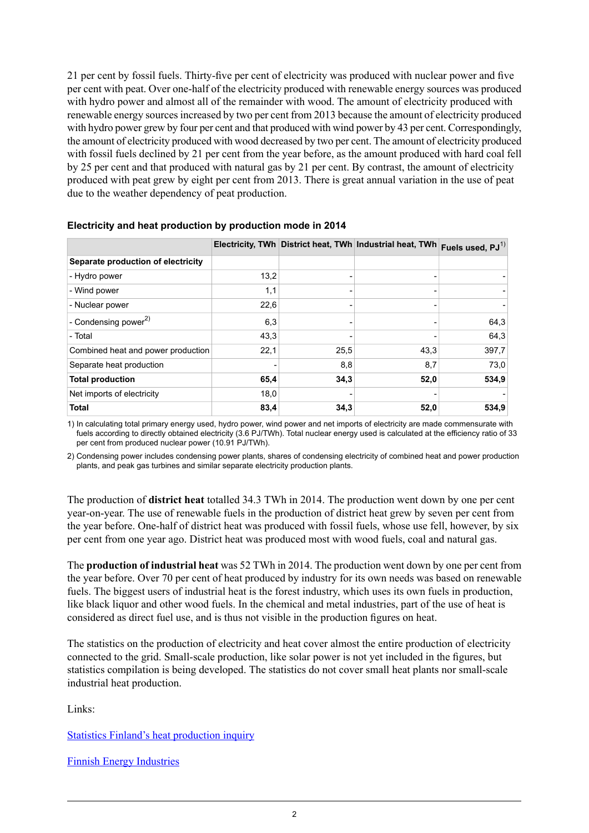21 per cent by fossil fuels. Thirty-five per cent of electricity was produced with nuclear power and five per cent with peat. Over one-half of the electricity produced with renewable energy sources was produced with hydro power and almost all of the remainder with wood. The amount of electricity produced with renewable energy sourcesincreased by two per cent from 2013 because the amount of electricity produced with hydro power grew by four per cent and that produced with wind power by 43 per cent. Correspondingly, the amount of electricity produced with wood decreased by two per cent. The amount of electricity produced with fossil fuels declined by 21 per cent from the year before, as the amount produced with hard coal fell by 25 per cent and that produced with natural gas by 21 per cent. By contrast, the amount of electricity produced with peat grew by eight per cent from 2013. There is great annual variation in the use of peat due to the weather dependency of peat production.

|                                    |      |      | Electricity, TWh District heat, TWh Industrial heat, TWh Fuels used, PJ <sup>1)</sup> |       |
|------------------------------------|------|------|---------------------------------------------------------------------------------------|-------|
| Separate production of electricity |      |      |                                                                                       |       |
| - Hydro power                      | 13,2 |      |                                                                                       |       |
| - Wind power                       | 1,1  |      |                                                                                       |       |
| - Nuclear power                    | 22,6 |      |                                                                                       |       |
| - Condensing power $^{2)}$         | 6,3  |      |                                                                                       | 64,3  |
| - Total                            | 43,3 |      |                                                                                       | 64,3  |
| Combined heat and power production | 22,1 | 25,5 | 43,3                                                                                  | 397,7 |
| Separate heat production           |      | 8,8  | 8,7                                                                                   | 73,0  |
| <b>Total production</b>            | 65,4 | 34,3 | 52,0                                                                                  | 534,9 |
| Net imports of electricity         | 18,0 |      |                                                                                       |       |
| <b>Total</b>                       | 83,4 | 34,3 | 52,0                                                                                  | 534,9 |

#### **Electricity and heat production by production mode in 2014**

1) In calculating total primary energy used, hydro power, wind power and net imports of electricity are made commensurate with fuels according to directly obtained electricity (3.6 PJ/TWh). Total nuclear energy used is calculated at the efficiency ratio of 33 per cent from produced nuclear power (10.91 PJ/TWh).

2) Condensing power includes condensing power plants, shares of condensing electricity of combined heat and power production plants, and peak gas turbines and similar separate electricity production plants.

The production of **district heat** totalled 34.3 TWh in 2014. The production went down by one per cent year-on-year. The use of renewable fuels in the production of district heat grew by seven per cent from the year before. One-half of district heat was produced with fossil fuels, whose use fell, however, by six per cent from one year ago. District heat was produced most with wood fuels, coal and natural gas.

The **production of industrial heat** was 52 TWh in 2014. The production went down by one per cent from the year before. Over 70 per cent of heat produced by industry for its own needs was based on renewable fuels. The biggest users of industrial heat is the forest industry, which uses its own fuels in production, like black liquor and other wood fuels. In the chemical and metal industries, part of the use of heat is considered as direct fuel use, and is thus not visible in the production figures on heat.

The statistics on the production of electricity and heat cover almost the entire production of electricity connected to the grid. Small-scale production, like solar power is not yet included in the figures, but statistics compilation is being developed. The statistics do not cover small heat plants nor small-scale industrial heat production.

Links:

Statistics Finland's heat [production](http://www.stat.fi/keruu/ene/index_en.html) inquiry

Finnish Energy [Industries](http://energia.fi/en/statistics-and-publications/electricity-statistics)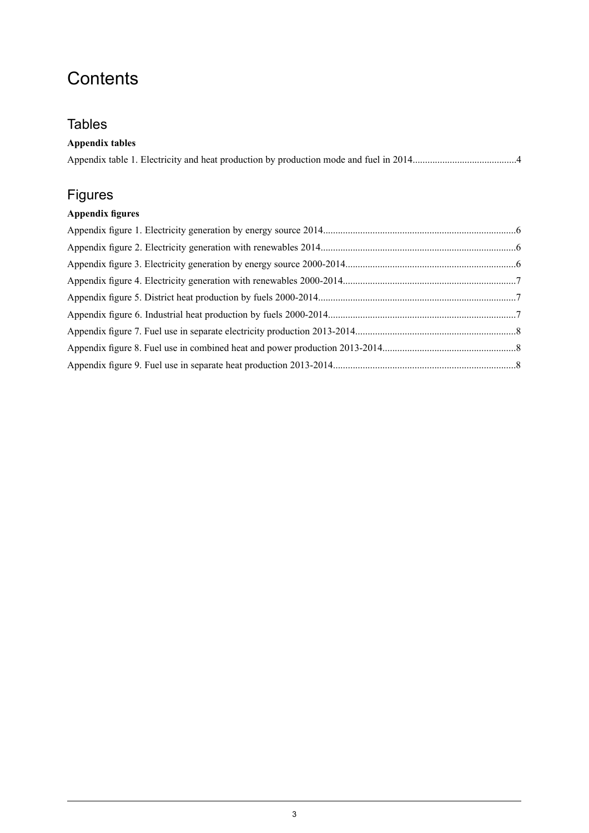## **Contents**

## **Tables**

### **Appendix tables**

## Figures

### **Appendix figures**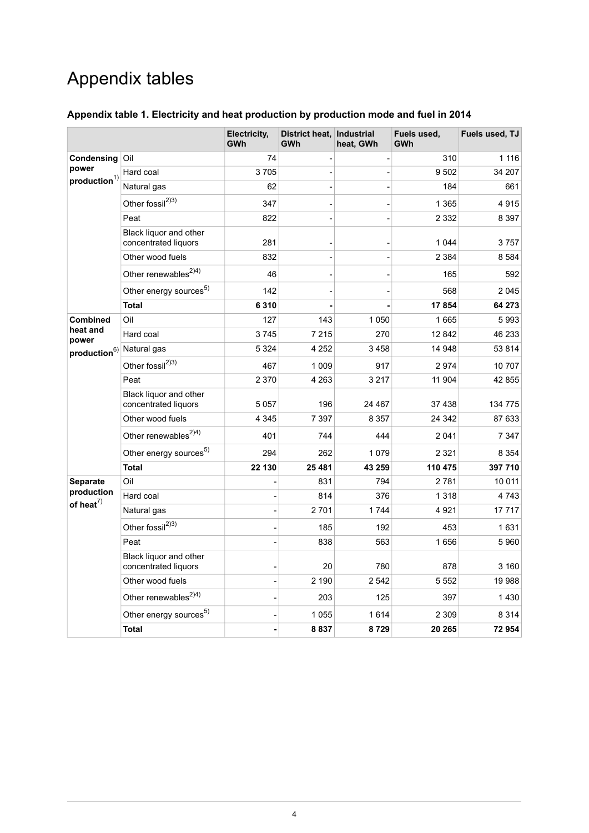## Appendix tables

<span id="page-3-0"></span>

| Appendix table 1. Electricity and heat production by production mode and fuel in 2014 |  |  |  |  |  |
|---------------------------------------------------------------------------------------|--|--|--|--|--|
|                                                                                       |  |  |  |  |  |

|                                      |                                                | Electricity,<br><b>GWh</b> | District heat, Industrial<br>GWh | heat, GWh | Fuels used,<br>GWh | Fuels used, TJ |
|--------------------------------------|------------------------------------------------|----------------------------|----------------------------------|-----------|--------------------|----------------|
| Condensing<br>power                  | Oil                                            | 74                         |                                  |           | 310                | 1 1 1 6        |
|                                      | Hard coal                                      | 3705                       |                                  |           | 9502               | 34 207         |
| $\boldsymbol{production}^{1)}$       | Natural gas                                    | 62                         |                                  |           | 184                | 661            |
|                                      | Other fossil <sup>2)3)</sup>                   | 347                        |                                  |           | 1 3 6 5            | 4915           |
|                                      | Peat                                           | 822                        |                                  |           | 2 3 3 2            | 8 3 9 7        |
|                                      | Black liquor and other<br>concentrated liquors | 281                        |                                  |           | 1 0 4 4            | 3757           |
|                                      | Other wood fuels                               | 832                        |                                  |           | 2 3 8 4            | 8584           |
|                                      | Other renewables <sup>2)4)</sup>               | 46                         |                                  |           | 165                | 592            |
|                                      | Other energy sources <sup>5)</sup>             | 142                        |                                  |           | 568                | 2045           |
|                                      | <b>Total</b>                                   | 6 3 1 0                    |                                  |           | 17854              | 64 273         |
| <b>Combined</b>                      | Oil                                            | 127                        | 143                              | 1 0 5 0   | 1665               | 5993           |
| heat and<br>power                    | Hard coal                                      | 3745                       | 7 2 1 5                          | 270       | 12 842             | 46 233         |
| production <sup>6)</sup> Natural gas |                                                | 5 3 2 4                    | 4 252                            | 3458      | 14 948             | 53 814         |
|                                      | Other fossil <sup>2)3)</sup>                   | 467                        | 1 0 0 9                          | 917       | 2974               | 10707          |
|                                      | Peat                                           | 2 3 7 0                    | 4 2 6 3                          | 3 2 1 7   | 11 904             | 42 855         |
|                                      | Black liquor and other<br>concentrated liquors | 5 0 5 7                    | 196                              | 24 467    | 37438              | 134 775        |
|                                      | Other wood fuels                               | 4 3 4 5                    | 7 3 9 7                          | 8 3 5 7   | 24 342             | 87 633         |
|                                      | Other renewables <sup>2)4)</sup>               | 401                        | 744                              | 444       | 2 0 4 1            | 7 3 4 7        |
|                                      | Other energy sources <sup>5)</sup>             | 294                        | 262                              | 1079      | 2 3 2 1            | 8 3 5 4        |
|                                      | <b>Total</b>                                   | 22 130                     | 25 481                           | 43 259    | 110 475            | 397 710        |
| Separate                             | Oil                                            | $\overline{\phantom{a}}$   | 831                              | 794       | 2781               | 10 011         |
| production<br>of heat $^{7)}$        | Hard coal                                      |                            | 814                              | 376       | 1 3 1 8            | 4 7 4 3        |
|                                      | Natural gas                                    |                            | 2701                             | 1744      | 4921               | 17717          |
|                                      | Other fossil <sup>2)3)</sup>                   |                            | 185                              | 192       | 453                | 1631           |
|                                      | Peat                                           |                            | 838                              | 563       | 1656               | 5960           |
|                                      | Black liquor and other<br>concentrated liquors |                            | 20                               | 780       | 878                | 3 160          |
|                                      | Other wood fuels                               |                            | 2 190                            | 2 5 4 2   | 5 5 5 2            | 19988          |
|                                      | Other renewables <sup>2)4)</sup>               |                            | 203                              | 125       | 397                | 1430           |
|                                      | Other energy sources <sup>5)</sup>             |                            | 1 0 5 5                          | 1614      | 2 3 0 9            | 8 3 1 4        |
|                                      | <b>Total</b>                                   |                            | 8837                             | 8729      | 20 265             | 72954          |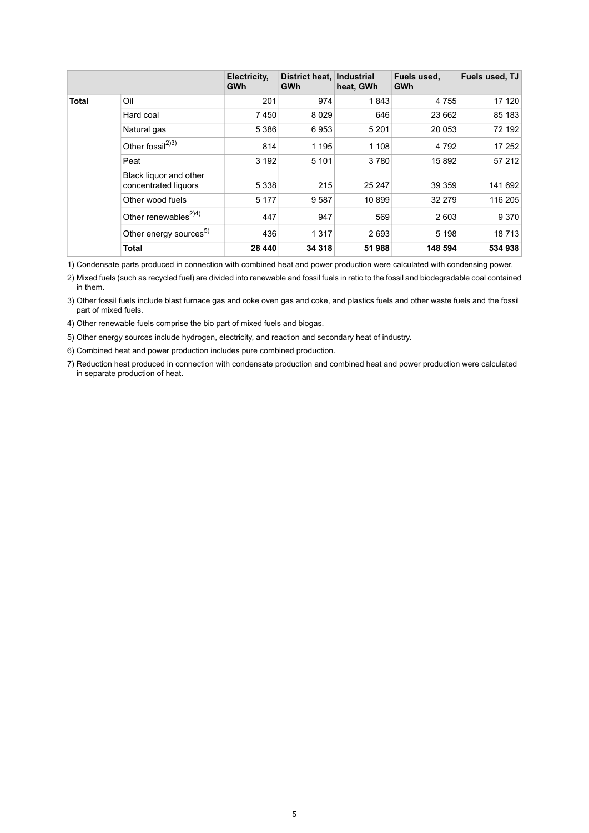|              |                                                | Electricity,<br><b>GWh</b> | District heat.<br>GWh | <b>Industrial</b><br>heat, GWh | Fuels used,<br>GWh | Fuels used, TJ |
|--------------|------------------------------------------------|----------------------------|-----------------------|--------------------------------|--------------------|----------------|
| <b>Total</b> | Oil                                            | 201                        | 974                   | 1843                           | 4755               | 17 120         |
|              | Hard coal                                      | 7450                       | 8 0 2 9               | 646                            | 23 662             | 85 183         |
|              | Natural gas                                    | 5 3 8 6                    | 6953                  | 5 2 0 1                        | 20 053             | 72 192         |
|              | Other fossil <sup>2)3)</sup>                   | 814                        | 1 1 9 5               | 1 1 0 8                        | 4 7 9 2            | 17 252         |
|              | Peat                                           | 3 1 9 2                    | 5 1 0 1               | 3780                           | 15892              | 57 212         |
|              | Black liquor and other<br>concentrated liquors | 5 3 3 8                    | 215                   | 25 247                         | 39 35 9            | 141 692        |
|              | Other wood fuels                               | 5 1 7 7                    | 9587                  | 10899                          | 32 279             | 116 205        |
|              | Other renewables <sup><math>2)4)</math></sup>  | 447                        | 947                   | 569                            | 2 6 0 3            | 9 3 7 0        |
|              | Other energy sources <sup>5)</sup>             | 436                        | 1 3 1 7               | 2693                           | 5 1 9 8            | 18713          |
|              | <b>Total</b>                                   | 28 440                     | 34 318                | 51 988                         | 148 594            | 534 938        |

1) Condensate parts produced in connection with combined heat and power production were calculated with condensing power.

Mixed fuels (such as recycled fuel) are divided into renewable and fossil fuels in ratio to the fossil and biodegradable coal contained 2) in them.

Other fossil fuels include blast furnace gas and coke oven gas and coke, and plastics fuels and other waste fuels and the fossil 3) part of mixed fuels.

4) Other renewable fuels comprise the bio part of mixed fuels and biogas.

5) Other energy sources include hydrogen, electricity, and reaction and secondary heat of industry.

6) Combined heat and power production includes pure combined production.

7) Reduction heat produced in connection with condensate production and combined heat and power production were calculated in separate production of heat.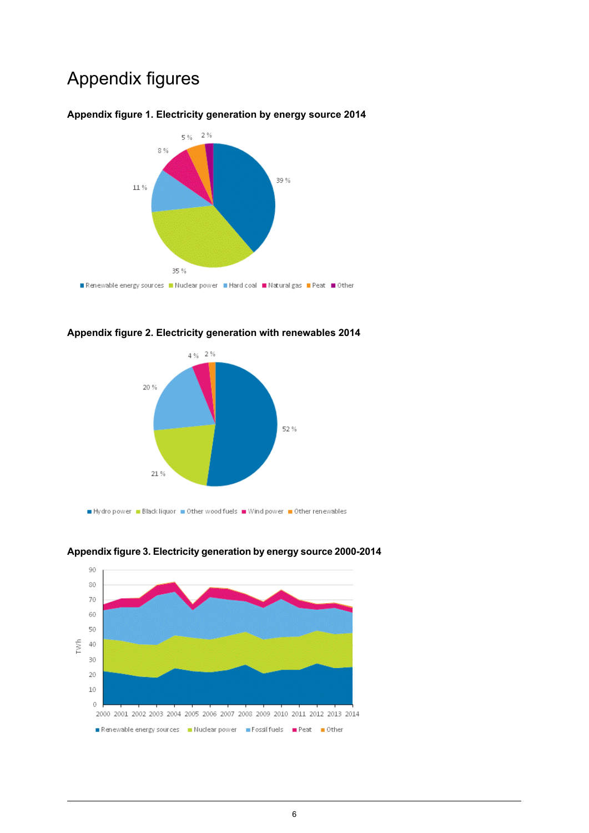## Appendix figures



#### <span id="page-5-0"></span>**Appendix figure 1. Electricity generation by energy source 2014**

<span id="page-5-1"></span>





<span id="page-5-2"></span>**Appendixfigure3. Electricity generation byenergysource2000-2014**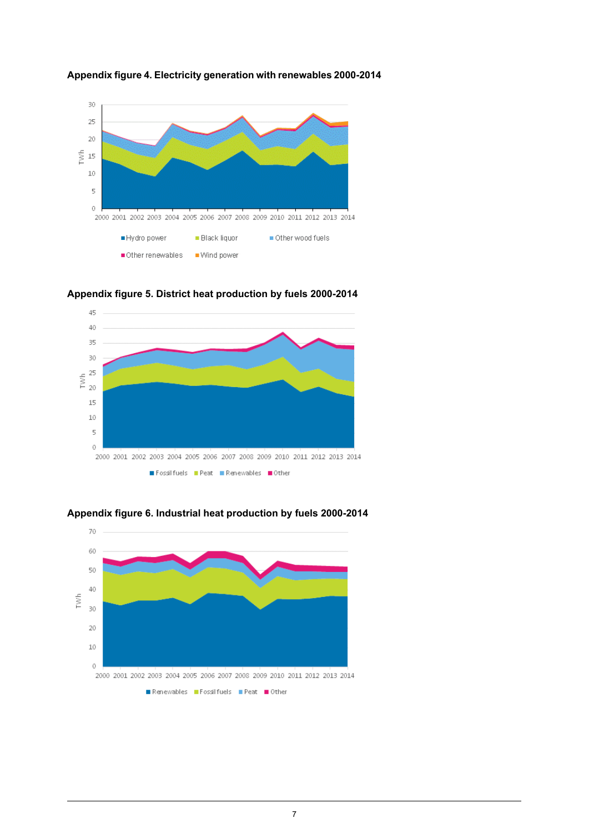

<span id="page-6-0"></span>



<span id="page-6-1"></span>**Appendix figure 5. District heat production by fuels 2000-2014**



<span id="page-6-2"></span>**Appendix figure 6. Industrial heat production by fuels 2000-2014**

Fossilfuels Peat Renewables Other

Renewables Fossilfuels Peat Other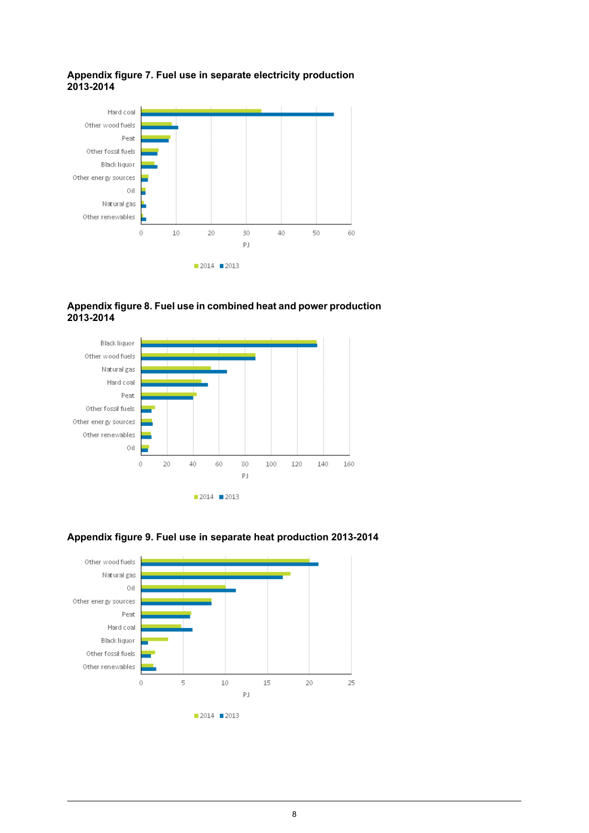

#### <span id="page-7-0"></span>**Appendix figure 7. Fuel use in separate electricity production 2013-2014**

<span id="page-7-1"></span>





### <span id="page-7-2"></span>**Appendix figure 9. Fuel use in separate heat production 2013-2014**